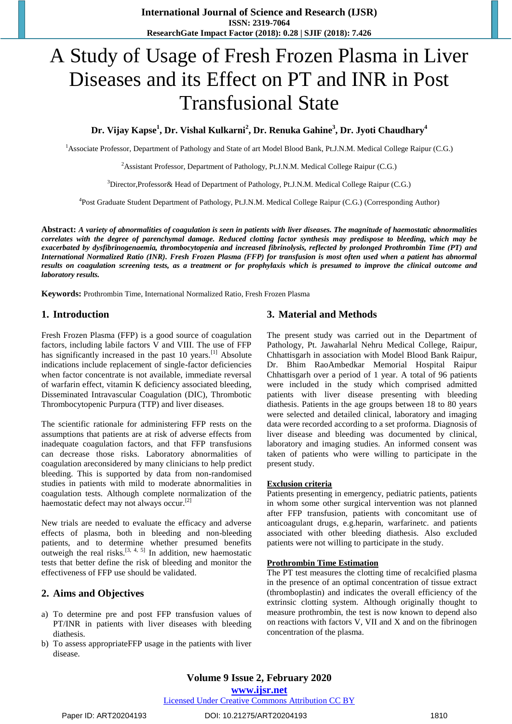**International Journal of Science and Research (IJSR) ISSN: 2319-7064 ResearchGate Impact Factor (2018): 0.28 | SJIF (2018): 7.426**

# A Study of Usage of Fresh Frozen Plasma in Liver Diseases and its Effect on PT and INR in Post Transfusional State

**Dr. Vijay Kapse<sup>1</sup> , Dr. Vishal Kulkarni<sup>2</sup> , Dr. Renuka Gahine<sup>3</sup> , Dr. Jyoti Chaudhary<sup>4</sup>**

<sup>1</sup>Associate Professor, Department of Pathology and State of art Model Blood Bank, Pt.J.N.M. Medical College Raipur (C.G.)

<sup>2</sup> Assistant Professor, Department of Pathology, Pt.J.N.M. Medical College Raipur (C.G.)

<sup>3</sup>Director,Professor& Head of Department of Pathology, Pt.J.N.M. Medical College Raipur (C.G.)

<sup>4</sup>Post Graduate Student Department of Pathology, Pt.J.N.M. Medical College Raipur (C.G.) (Corresponding Author)

**Abstract:** *A variety of abnormalities of coagulation is seen in patients with liver diseases. The magnitude of haemostatic abnormalities correlates with the degree of parenchymal damage. Reduced clotting factor synthesis may predispose to bleeding, which may be exacerbated by dysfibrinogenaemia, thrombocytopenia and increased fibrinolysis, reflected by prolonged Prothrombin Time (PT) and International Normalized Ratio (INR). Fresh Frozen Plasma (FFP) for transfusion is most often used when a patient has abnormal results on coagulation screening tests, as a treatment or for prophylaxis which is presumed to improve the clinical outcome and laboratory results.*

**Keywords:** Prothrombin Time, International Normalized Ratio, Fresh Frozen Plasma

#### **1. Introduction**

Fresh Frozen Plasma (FFP) is a good source of coagulation factors, including labile factors V and VIII. The use of FFP has significantly increased in the past 10 years.  $[1]$  Absolute indications include replacement of single-factor deficiencies when factor concentrate is not available, immediate reversal of warfarin effect, vitamin K deficiency associated bleeding, Disseminated Intravascular Coagulation (DIC), Thrombotic Thrombocytopenic Purpura (TTP) and liver diseases.

The scientific rationale for administering FFP rests on the assumptions that patients are at risk of adverse effects from inadequate coagulation factors, and that FFP transfusions can decrease those risks. Laboratory abnormalities of coagulation areconsidered by many clinicians to help predict bleeding. This is supported by data from non-randomised studies in patients with mild to moderate abnormalities in coagulation tests. Although complete normalization of the haemostatic defect may not always occur.<sup>[2]</sup>

New trials are needed to evaluate the efficacy and adverse effects of plasma, both in bleeding and non-bleeding patients, and to determine whether presumed benefits outweigh the real risks.<sup>[3, 4, 5]</sup> In addition, new haemostatic tests that better define the risk of bleeding and monitor the effectiveness of FFP use should be validated.

#### **2. Aims and Objectives**

- a) To determine pre and post FFP transfusion values of PT/INR in patients with liver diseases with bleeding diathesis.
- b) To assess appropriateFFP usage in the patients with liver disease.

#### **3. Material and Methods**

The present study was carried out in the Department of Pathology, Pt. Jawaharlal Nehru Medical College, Raipur, Chhattisgarh in association with Model Blood Bank Raipur, Dr. Bhim RaoAmbedkar Memorial Hospital Raipur Chhattisgarh over a period of 1 year. A total of 96 patients were included in the study which comprised admitted patients with liver disease presenting with bleeding diathesis. Patients in the age groups between 18 to 80 years were selected and detailed clinical, laboratory and imaging data were recorded according to a set proforma. Diagnosis of liver disease and bleeding was documented by clinical, laboratory and imaging studies. An informed consent was taken of patients who were willing to participate in the present study.

#### **Exclusion criteria**

Patients presenting in emergency, pediatric patients, patients in whom some other surgical intervention was not planned after FFP transfusion, patients with concomitant use of anticoagulant drugs, e.g.heparin, warfarinetc. and patients associated with other bleeding diathesis. Also excluded patients were not willing to participate in the study.

#### **Prothrombin Time Estimation**

The PT test measures the clotting time of recalcified plasma in the presence of an optimal concentration of tissue extract (thromboplastin) and indicates the overall efficiency of the extrinsic clotting system. Although originally thought to measure prothrombin, the test is now known to depend also on reactions with factors V, VII and X and on the fibrinogen concentration of the plasma.

**www.ijsr.net**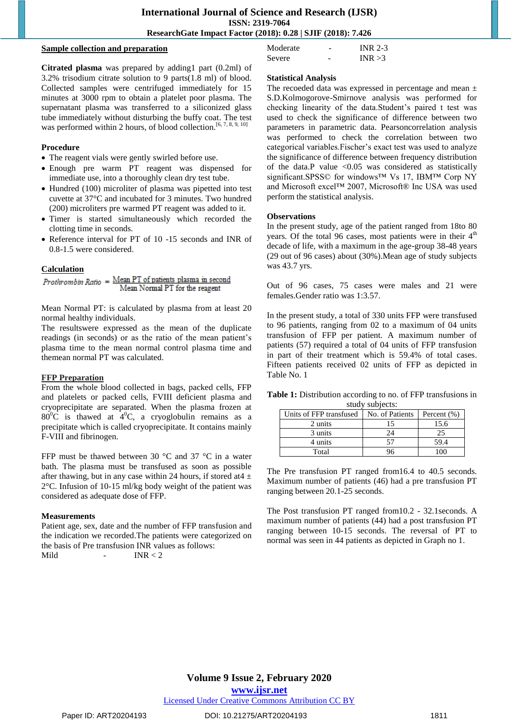#### **Sample collection and preparation**

**Citrated plasma** was prepared by adding1 part (0.2ml) of 3.2% trisodium citrate solution to 9 parts(1.8 ml) of blood. Collected samples were centrifuged immediately for 15 minutes at 3000 rpm to obtain a platelet poor plasma. The supernatant plasma was transferred to a siliconized glass tube immediately without disturbing the buffy coat. The test was performed within 2 hours, of blood collection.<sup>[6, 7, 8, 9, 10]</sup>

#### **Procedure**

- The reagent vials were gently swirled before use.
- Enough pre warm PT reagent was dispensed for immediate use, into a thoroughly clean dry test tube.
- Hundred (100) microliter of plasma was pipetted into test cuvette at 37°C and incubated for 3 minutes. Two hundred (200) microliters pre warmed PT reagent was added to it.
- Timer is started simultaneously which recorded the clotting time in seconds.
- Reference interval for PT of 10 -15 seconds and INR of 0.8-1.5 were considered.

Calculation<br>*Prothrombin Ratio* =  $\frac{\text{Mean PT of patients plasma in second}}{\text{Total PT of patients.}}$ Mean Normal PT for the reagent

Mean Normal PT: is calculated by plasma from at least 20 normal healthy individuals.

The resultswere expressed as the mean of the duplicate readings (in seconds) or as the ratio of the mean patient's plasma time to the mean normal control plasma time and themean normal PT was calculated.

#### **FFP Preparation**

From the whole blood collected in bags, packed cells, FFP and platelets or packed cells, FVIII deficient plasma and cryoprecipitate are separated. When the plasma frozen at  $80^{\circ}$ C is thawed at  $4^{\circ}$ C, a cryoglobulin remains as a precipitate which is called cryoprecipitate. It contains mainly F-VIII and fibrinogen.

FFP must be thawed between 30 °C and 37 °C in a water bath. The plasma must be transfused as soon as possible after thawing, but in any case within 24 hours, if stored at  $4 \pm$ 2°C. Infusion of 10-15 ml/kg body weight of the patient was considered as adequate dose of FFP.

#### **Measurements**

Patient age, sex, date and the number of FFP transfusion and the indication we recorded.The patients were categorized on the basis of Pre transfusion INR values as follows: Mild  $\qquad - \qquad \text{INR} < 2$ 

#### **Statistical Analysis**

Moderate - INR 2-3 Severe - INR > 3

The recoeded data was expressed in percentage and mean  $\pm$ S.D.Kolmogorove-Smirnove analysis was performed for checking linearity of the data.Student's paired t test was used to check the significance of difference between two parameters in parametric data. Pearsoncorrelation analysis was performed to check the correlation between two categorical variables.Fischer's exact test was used to analyze the significance of difference between frequency distribution of the data.P value  $\leq 0.05$  was considered as statistically significant.SPSS© for windows™ Vs 17, IBM™ Corp NY and Microsoft excel™ 2007, Microsoft® Inc USA was used perform the statistical analysis.

#### **Observations**

In the present study, age of the patient ranged from 18to 80 years. Of the total 96 cases, most patients were in their  $4<sup>th</sup>$ decade of life, with a maximum in the age-group 38-48 years (29 out of 96 cases) about (30%).Mean age of study subjects was 43.7 yrs.

Out of 96 cases, 75 cases were males and 21 were females.Gender ratio was 1:3.57.

In the present study, a total of 330 units FFP were transfused to 96 patients, ranging from 02 to a maximum of 04 units transfusion of FFP per patient. A maximum number of patients (57) required a total of 04 units of FFP transfusion in part of their treatment which is 59.4% of total cases. Fifteen patients received 02 units of FFP as depicted in Table No. 1

| <b>Table 1:</b> Distribution according to no. of FFP transfusions in |                 |  |
|----------------------------------------------------------------------|-----------------|--|
|                                                                      | study subjects: |  |

| Units of FFP transfused | No. of Patients | Percent $(\%)$ |
|-------------------------|-----------------|----------------|
| 2 units                 | 15              | 15.6           |
| 3 units                 | 24              | 25             |
| 4 units                 | 57              | 59.4           |
| Total                   | 96              | 100            |

The Pre transfusion PT ranged from16.4 to 40.5 seconds. Maximum number of patients (46) had a pre transfusion PT ranging between 20.1-25 seconds.

The Post transfusion PT ranged from10.2 - 32.1seconds. A maximum number of patients (44) had a post transfusion PT ranging between 10-15 seconds. The reversal of PT to normal was seen in 44 patients as depicted in Graph no 1.

**www.ijsr.net**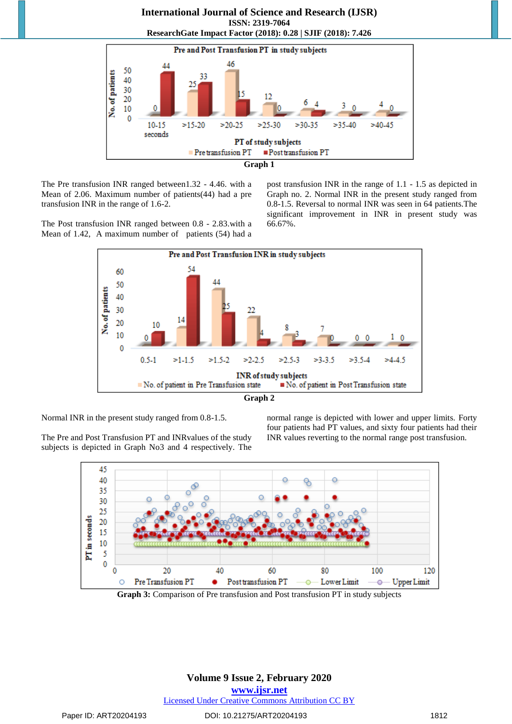

The Pre transfusion INR ranged between1.32 - 4.46. with a Mean of 2.06. Maximum number of patients(44) had a pre transfusion INR in the range of 1.6-2.

The Post transfusion INR ranged between 0.8 - 2.83.with a Mean of 1.42, A maximum number of patients (54) had a post transfusion INR in the range of 1.1 - 1.5 as depicted in Graph no. 2. Normal INR in the present study ranged from 0.8-1.5. Reversal to normal INR was seen in 64 patients.The significant improvement in INR in present study was 66.67%.





Normal INR in the present study ranged from 0.8-1.5.

The Pre and Post Transfusion PT and INRvalues of the study subjects is depicted in Graph No3 and 4 respectively. The normal range is depicted with lower and upper limits. Forty four patients had PT values, and sixty four patients had their INR values reverting to the normal range post transfusion.



**Graph 3:** Comparison of Pre transfusion and Post transfusion PT in study subjects

# **Volume 9 Issue 2, February 2020**

**www.ijsr.net**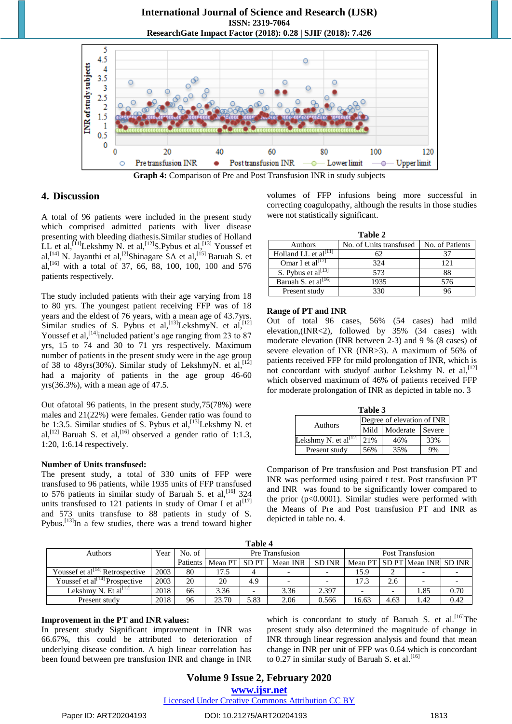

**Graph 4:** Comparison of Pre and Post Transfusion INR in study subjects

#### **4. Discussion**

A total of 96 patients were included in the present study which comprised admitted patients with liver disease presenting with bleeding diathesis.Similar studies of Holland LL et al,<sup>[11]</sup>Lekshmy N. et al,<sup>[12]</sup>S.Pybus et al,<sup>[13]</sup> Youssef et al,<sup>[14]</sup> N. Jayanthi et al,<sup>[2]</sup>Shinagare SA et al,<sup>[15]</sup> Baruah S. et al, [16] with a total of 37, 66, 88, 100, 100, 100 and 576 patients respectively.

The study included patients with their age varying from 18 to 80 yrs. The youngest patient receiving FFP was of 18 years and the eldest of 76 years, with a mean age of 43.7yrs. Similar studies of S. Pybus et al, [13] LekshmyN. et al, [12] Youssef et al,<sup>[14]</sup>included patient's age ranging from 23 to 87 yrs, 15 to 74 and 30 to 71 yrs respectively. Maximum number of patients in the present study were in the age group of 38 to 48yrs(30%). Similar study of LekshmyN. et al,<sup>[12]</sup> had a majority of patients in the age group 46-60 yrs(36.3%), with a mean age of 47.5.

Out ofatotal 96 patients, in the present study,75(78%) were males and 21(22%) were females. Gender ratio was found to be 1:3.5. Similar studies of S. Pybus et al,<sup>[13]</sup>Lekshmy N. et al,<sup>[12]</sup> Baruah S. et al,<sup>[16]</sup> observed a gender ratio of 1:1.3, 1:20, 1:6.14 respectively.

#### **Number of Units transfused:**

The present study, a total of 330 units of FFP were transfused to 96 patients, while 1935 units of FFP transfused to 576 patients in similar study of Baruah S. et al,  $[16]$  324 units transfused to 121 patients in study of Omar I et  $al^{[17]}$ and 573 units transfuse to 88 patients in study of S. Pybus.<sup>[13]</sup>In a few studies, there was a trend toward higher

volumes of FFP infusions being more successful in correcting coagulopathy, although the results in those studies were not statistically significant.

| Table 2                   |                         |                 |  |  |  |  |
|---------------------------|-------------------------|-----------------|--|--|--|--|
| Authors                   | No. of Units transfused | No. of Patients |  |  |  |  |
| Holland LL et $al^{[11]}$ | 62                      | 37              |  |  |  |  |
| Omar I et al $^{[17]}$    | 32.4                    | 121             |  |  |  |  |
| S. Pybus et al $^{[13]}$  | 573                     | 88              |  |  |  |  |
| Baruah S. et al $^{[16]}$ | 1935                    | 576             |  |  |  |  |
| Present study             | 330                     | 96              |  |  |  |  |

#### **Range of PT and INR**

Out of total 96 cases, 56% (54 cases) had mild elevation,(INR<2), followed by 35% (34 cases) with moderate elevation (INR between 2-3) and 9 % (8 cases) of severe elevation of INR (INR>3). A maximum of 56% of patients received FFP for mild prolongation of INR, which is not concordant with studyof author Lekshmy N. et al,<sup>[12]</sup> which observed maximum of 46% of patients received FFP for moderate prolongation of INR as depicted in table no. 3

| Table 3                    |                            |          |        |  |  |  |
|----------------------------|----------------------------|----------|--------|--|--|--|
|                            | Degree of elevation of INR |          |        |  |  |  |
| <b>Authors</b>             | Mild                       | Moderate | Severe |  |  |  |
| Lekshmy N. et al $^{[12]}$ | 21%                        | 46%      | 33%    |  |  |  |
| Present study              | 56%                        | 35%      |        |  |  |  |

Comparison of Pre transfusion and Post transfusion PT and INR was performed using paired t test. Post transfusion PT and INR was found to be significantly lower compared to the prior  $(p<0.0001)$ . Similar studies were performed with the Means of Pre and Post transfusion PT and INR as depicted in table no. 4.

| Table 4                                     |      |          |                 |             |                          |               |       |      |                                     |      |
|---------------------------------------------|------|----------|-----------------|-------------|--------------------------|---------------|-------|------|-------------------------------------|------|
| Authors                                     | Year | No. of   | Pre Transfusion |             |                          |               |       |      | Post Transfusion                    |      |
|                                             |      | Patients | Mean PT         | <b>SDPT</b> | Mean INR                 | <b>SD INR</b> |       |      | Mean PT   SD PT   Mean INR   SD INR |      |
| Youssef et al <sup>[14]</sup> Retrospective | 2003 | 80       | 17.5            |             | $\overline{\phantom{0}}$ |               | 15.9  |      |                                     |      |
| Youssef et al <sup>[14]</sup> Prospective   | 2003 | 20       | 20              | 4.9         |                          |               | 17.3  | 2.6  |                                     |      |
| Lekshmy N. Et al $^{[12]}$                  | 2018 | 66       | 3.36            |             | 3.36                     | 2.397         |       |      | 1.85                                | 0.70 |
| Present study                               | 2018 | 96       | 23.70           | 5.83        | 2.06                     | 0.566         | 16.63 | 4.63 | 1.42                                | 0.42 |

#### **Improvement in the PT and INR values:**

In present study Significant improvement in INR was 66.67%, this could be attributed to deterioration of underlying disease condition. A high linear correlation has been found between pre transfusion INR and change in INR which is concordant to study of Baruah S. et al.  $[16]$ The present study also determined the magnitude of change in INR through linear regression analysis and found that mean change in INR per unit of FFP was 0.64 which is concordant to 0.27 in similar study of Baruah S. et al.<sup>[16]</sup>

# **Volume 9 Issue 2, February 2020 www.ijsr.net**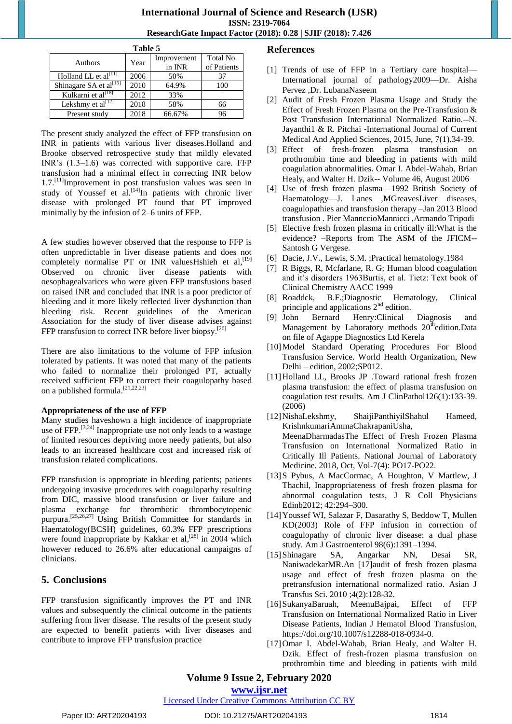#### **International Journal of Science and Research (IJSR) ISSN: 2319-7064 ResearchGate Impact Factor (2018): 0.28 | SJIF (2018): 7.426**

| Table 5                            |      |             |             |  |  |  |
|------------------------------------|------|-------------|-------------|--|--|--|
| <b>Authors</b>                     | Year | Improvement | Total No.   |  |  |  |
|                                    |      | in INR      | of Patients |  |  |  |
| Holland LL et al <sup>[11]</sup>   | 2006 | 50%         | 37          |  |  |  |
| Shinagare SA et al <sup>[15]</sup> | 2010 | 64.9%       | 100         |  |  |  |
| Kulkarni et al <sup>[18]</sup>     | 2012 | 33%         |             |  |  |  |
| Lekshmy et al $^{[12]}$            | 2018 | 58%         | 66          |  |  |  |
| Present study                      | 2018 | 66.67%      | 96          |  |  |  |

The present study analyzed the effect of FFP transfusion on INR in patients with various liver diseases.Holland and Brooke observed retrospective study that mildly elevated INR's (1.3–1.6) was corrected with supportive care. FFP transfusion had a minimal effect in correcting INR below 1.7.<sup>[11]</sup>Improvement in post transfusion values was seen in study of Youssef et al.  $[14]$ In patients with chronic liver disease with prolonged PT found that PT improved minimally by the infusion of 2–6 units of FFP.

A few studies however observed that the response to FFP is often unpredictable in liver disease patients and does not completely normalise PT or INR valuesHshieh et al,  $^{[19]}$ Observed on chronic liver disease patients with oesophagealvarices who were given FFP transfusions based on raised INR and concluded that INR is a poor predictor of bleeding and it more likely reflected liver dysfunction than bleeding risk. Recent guidelines of the American Association for the study of liver disease advises against FFP transfusion to correct INR before liver biopsy.<sup>[20]</sup>

There are also limitations to the volume of FFP infusion tolerated by patients. It was noted that many of the patients who failed to normalize their prolonged PT, actually received sufficient FFP to correct their coagulopathy based on a published formula.<sup>[21,22,23]</sup>

#### **Appropriateness of the use of FFP**

Many studies haveshown a high incidence of inappropriate use of FFP.<sup>[3,24]</sup> Inappropriate use not only leads to a wastage of limited resources depriving more needy patients, but also leads to an increased healthcare cost and increased risk of transfusion related complications.

FFP transfusion is appropriate in bleeding patients; patients undergoing invasive procedures with coagulopathy resulting from DIC, massive blood transfusion or liver failure and plasma exchange for thrombotic thrombocytopenic purpura.<sup>[25,26,27]</sup> Using British Committee for standards in Haematology(BCSH) guidelines, 60.3% FFP prescriptions were found inappropriate by Kakkar et al,<sup>[28]</sup> in 2004 which however reduced to 26.6% after educational campaigns of clinicians.

# **5. Conclusions**

FFP transfusion significantly improves the PT and INR values and subsequently the clinical outcome in the patients suffering from liver disease. The results of the present study are expected to benefit patients with liver diseases and contribute to improve FFP transfusion practice

### **References**

- [1] Trends of use of FFP in a Tertiary care hospital— International journal of pathology2009—Dr. Aisha Pervez ,Dr. LubanaNaseem
- [2] Audit of Fresh Frozen Plasma Usage and Study the Effect of Fresh Frozen Plasma on the Pre-Transfusion & Post–Transfusion International Normalized Ratio.--N. Jayanthi1 & R. Pitchai -International Journal of Current Medical And Applied Sciences, 2015, June, 7(1).34-39.
- [3] Effect of fresh-frozen plasma transfusion on prothrombin time and bleeding in patients with mild coagulation abnormalities. Omar I. Abdel-Wahab, Brian Healy, and Walter H. Dzik-- Volume 46, August 2006
- [4] Use of fresh frozen plasma—1992 British Society of Haematology—J. Lanes ,MGreavesLiver diseases, coagulopathies and transfusion therapy –Jan 2013 Blood transfusion . Pier MannccioMannicci ,Armando Tripodi
- [5] Elective fresh frozen plasma in critically ill:What is the evidence? –Reports from The ASM of the JFICM-- Santosh G Vergese.
- [6] Dacie, J.V., Lewis, S.M. ;Practical hematology.1984
- [7] R Biggs, R, Mcfarlane, R. G; Human blood coagulation and it's disorders 1963Burtis, et al. Tietz: Text book of Clinical Chemistry AACC 1999
- [8] Roaddck, B.F.;Diagnostic Hematology, Clinical principle and applications 2nd edition.
- [9] John Bernard Henry:Clinical Diagnosis and Management by Laboratory methods 20<sup>th</sup>edition.Data on file of Agappe Diagnostics Ltd Kerela
- [10] Model Standard Operating Procedures For Blood Transfusion Service. World Health Organization, New Delhi – edition, 2002;SP012.
- [11]Holland LL, Brooks JP .Toward rational fresh frozen plasma transfusion: the effect of plasma transfusion on coagulation test results. Am J ClinPathol126(1):133-39. (2006)
- [12]NishaLekshmy, ShaijiPanthiyilShahul Hameed, KrishnkumariAmmaChakrapaniUsha, MeenaDharmadasThe Effect of Fresh Frozen Plasma Transfusion on International Normalized Ratio in Critically Ill Patients. National Journal of Laboratory Medicine. 2018, Oct, Vol-7(4): PO17-PO22.
- [13]S Pybus, A MacCormac, A Houghton, V Martlew, J Thachil, Inappropriateness of fresh frozen plasma for abnormal coagulation tests, J R Coll Physicians Edinb2012; 42:294–300.
- [14]Youssef WI, Salazar F, Dasarathy S, Beddow T, Mullen KD(2003) Role of FFP infusion in correction of coagulopathy of chronic liver disease: a dual phase study. Am J Gastroenterol 98(6):1391–1394.
- [15]Shinagare SA, Angarkar NN, Desai SR, NaniwadekarMR.An [17]audit of fresh frozen plasma usage and effect of fresh frozen plasma on the pretransfusion international normalized ratio. Asian J Transfus Sci. 2010 ;4(2):128-32.
- [16]SukanyaBaruah, MeenuBajpai, Effect of FFP Transfusion on International Normalized Ratio in Liver Disease Patients, Indian J Hematol Blood Transfusion, [https://doi.org/10.1007/s12288-018-0934-0.](https://doi.org/10.1007/s12288-018-0934-0)
- [17]Omar I. Abdel-Wahab, Brian Healy, and Walter H. Dzik. Effect of fresh-frozen plasma transfusion on prothrombin time and bleeding in patients with mild

# **Volume 9 Issue 2, February 2020**

#### **www.ijsr.net**